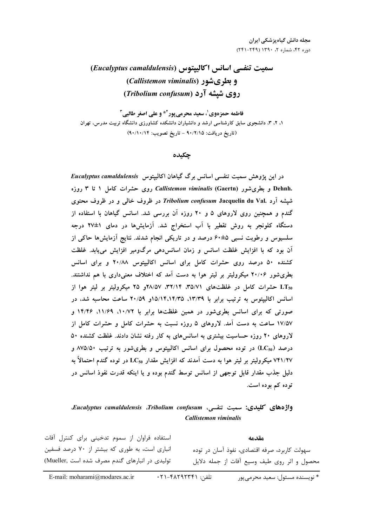سمیت تنفسی اسانس اکالییتوس (Eucalyptus camaldulensis) و بطری شور (Callistemon viminalis) روی شیشه آرد (Tribolium confusum)

فاطمه حمزهوي'، سعيد محرمي يور<sup>۲ پ</sup>و على اصغر طالبي<sup>۳</sup> ۱، ۲، ۳، دانشجوی سابق کارشناسی ارشد و دانشیاران دانشکده کشاورزی دانشگاه تربیت مدرس، تهران (تاريخ دريافت: ٩٠/٢/١٥ - تاريخ تصويب: ٩٠/١٠/١۴)

چکیده

در این پژوهش سمیت تنفسی اسانس برگ گیاهان اکالیپتوس Eucalyptus camaldulensis .Dehnh و بطریشور Callistemon viminalis (Gaertn) روی حشرات کامل ۱ تا ۳ روزه شپشه آرد .*Tribolium confusum* Jacquelin du Val در ظروف خال<sub>ی</sub> و در ظروف محتوی گندم و همچنین روی لاروهای ۵ و ۲۰ روزه آن بررسی شد. اسانس گیاهان با استفاده از دستگاه کلونجر به روش تقطیر با آب استخراج شد. آزمایشها در دمای ۱±۲۷ درجه سلسیوس و رطوبت نسبی ۵±۶۰ درصد و در تاریکی انجام شدند. نتایج آزمایشها حاکی از آن بود که با افزایش غلظت اسانس و زمان اسانس دهی مرگومیر افزایش می یابد. غلظت کشنده ۵۰ درصد روی حشرات کامل برای اسانس اکالیپتوس ۲۰/۸۸ و برای اسانس بطری شور ۲۰/۰۶ میکرولیتر بر لیتر هوا به دست آمد که اختلاف معنیداری با هم نداشتند. LT50 حشرات کامل در غلظتهای ۳۵/۷۱، ۳۲/۱۴، ۲۸/۵۷و ۲۵ میکرولیتر بر لیتر هوا از اسانس اکالیپتوس به ترتیب برابر با ۱۳/۳۹، ۱۳/۳۵، ۱۵/۱۴،۱۴/۳۵ ساعت محاسبه شد، در صورتی که برای اسانس بطریشور در همین غلظتها برابر با ۱۰/۷۲، ۱۱/۶۹، ۱۴/۴۶ و ۱۷/۵۷ ساعت به دست آمد. لاروهای ۵ روزه نسبت به حشرات کامل و حشرات کامل از لاروهای ۲۰ روزه حساسیت بیشتری به اسانسهای به کار رفته نشان دادند. غلظت کشنده ۵۰ درصد (LC<sub>50</sub>) در توده محصول برای اسانس اکالیپتوس و بطریشور به ترتیب ۸۷۵/۵۰ و ۷۴۱/۲۷ میکرولیتر بر لیتر هوا به دست آمدند که افزایش مقدار LC<sub>50</sub> در توده گندم احتمالاً به دلیل جذب مقدار قابل توجهی از اسانس توسط گندم بوده و یا اینکه قدرت نفوذ اسانس در توده کم بوده است.

## واژههای کلیدی: سمیت تنفسی، Eucalyptus camaldulensis .Tribolium confusum. Callistemon viminalis

استفاده فراوان از سموم تدخینی برای کنترل آفات مقدمه انباری است، به طوری که بیشتر از ۷۰ درصد فسفین سهولت کاربرد، صرفه اقتصادی، نفوذ آسان در توده محصول و اثر روی طیف وسیع آفات از جمله دلایل تولیدی در انبارهای گندم مصرف شده است .Mueller)

\* نویسنده مسئول: سعید محرمے یور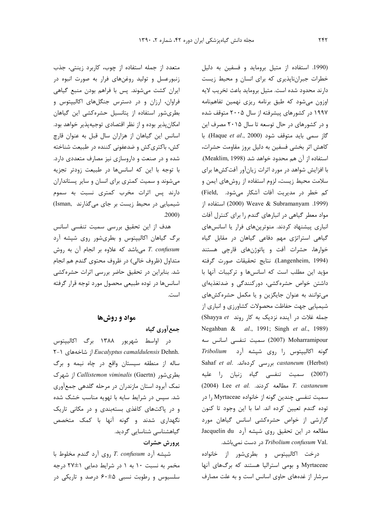متعدد از جمله استفاده از چوب، کاربرد زینتی، جذب زنبورعسل و تولید روغنهای فرار به صورت انبوه در ایران کشت می شوند. پس با فراهم بودن منبع گیاهی فراوان، ارزان و در دسترس جنگلهای اکالیپتوس و بطریشور استفاده از پتانسیل حشرهکشی این گیاهان امکان پذیر بوده و از نظر اقتصادی توجیهپذیر خواهد بود. اسانس این گیاهان از هزاران سال قبل به عنوان قارچ کش، باکتری کش و ضدعفونی کننده در طبیعت شناخته شده و در صنعت و داروسازی نیز مصارف متعددی دارد. با توجه با این که اسانسها در طبیعت زودتر تجزیه میشوند و سمیت کمتری برای انسان و سایر پستانداران دارند پس اثرات مخرب کمتری نسبت به سموم شیمیایی در محیط زیست بر جای میگذارند .(Isman)  $.2000)$ 

هدف از این تحقیق بررسی سمیت تنفسی اسانس برگ گیاهان اکالیپتوس و بطریشور روی شپشه آرد 7. confusum میباشد که علاوه بر انجام آن به روش متداول (ظروف خالي) در ظروف محتوي گندم هم انجام شد. بنابراین در تحقیق حاضر بررسی اثرات حشرهکشی اسانسها در توده طبیعی محصول مورد توجه قرار گرفته است.

### مواد و روشها

### جمع آوري گياه

در اواسط شهریور ۱۳۸۸ برگ اکالیپتوس ۲-۱ Eucalyptus camaldulensis Dehnh. ساله از منطقه سیستان واقع در چاه نیمه و برگ بطریشور Callistemon viminalis (Gaertn) از شهرک نمک آبرود استان مازندران در مرحله گلدهی جمعآوری شد. سپس در شرایط سایه با تهویه مناسب خشک شده و در پاکتهای کاغذی بستهبندی و در مکانی تاریک نگهداری شدند و گونه آنها با کمک متخصص گیاهشناسی شناسایی گردید.

## پرورش حشرات

شپشه آرد T. confusum روی آرد گندم مخلوط با مخمر به نسبت ۱۰ به ۱ در شرایط دمایی ۱±۲۷ درجه سلسیوس و رطوبت نسبی ۵±۶۰ درصد و تاریکی در

(1990. استفاده از متيل برومايد و فسفين به دليل خطرات جبراننایذیری که برای انسان و محیط زیست دارند محدود شده است. متيل برومايد باعث تخريب لايه اوزون مى شود كه طبق برنامه ريزى نهمين تفاهمنامه ۱۹۹۷ در کشورهای پیشرفته از سال ۲۰۰۵ متوقف شده و در کشورهای در حال توسعه تا سال ۲۰۱۵ مصرف این گاز سمی باید متوقف شود (Haque et al., 2000). با كاهش اثر بخشى فسفين به دليل بروز مقاومت حشرات، استفاده از آن هم محدود خواهد شد (Meaklim, 1998). با افزایش شواهد در مورد اثرات زیانآور آفتکشها برای سلامت محیط زیست، لزوم استفاده از روشهای ایمن و کم خطر در مدیریت آفات آشکار میشود. .Field) استفاده از (2000) Weave & Subramanyam (1999) مواد معطر گیاهی در انبارهای گندم را برای کنترل آفات انباری پیشنهاد کردند. منوترپنهای فرار یا اسانسهای گیاهی استراتژی مهم دفاعی گیاهان در مقابل گیاه خوارها، حشرات آفت و پاتوژنهای قارچی هستند (Langenheim, 1994). نتايج تحقيقات صورت گرفته مؤيد اين مطلب است كه اسانسها وتركيبات آنها با داشتن خواص حشره کشی، دورکنندگی و ضدتغذیهای می توانند به عنوان جایگزین و یا مکمل حشره کشهای شیمیایی جهت حفاظت محصولات کشاورزی و انباری از جمله غلات در آینده نزدیک به کار روند Shayya et) Negahban & al., 1991; Singh et al., 1989) Moharramipour (2007) سميت تنفسى اسانس سه گونه اکالیپتوس را روی شپشه آرد *Tribolium* Sahaf et al. بررسی کردهاند. Sahaf et al. بررسی کرده (2007) سميت تنفسى گياه زنيان را عليه (2004) Lee et al. مطالعه كردند. Lee et al. مطالعه كردند. سمیت تنفسی چندین گونه از خانواده Myrtaceae را در توده گندم تعیین کرده اند. اما با این وجود تا کنون گزارشی از خواص حشره کشی اسانس گیاهان مورد مطالعه در این تحقیق روی شپشه آرد Jacquelin du .*Tribolium confusum* Val در دست نمی باشد.

درخت اکالیپتوس و بطریشور از خانواده Myrtaceae وبومی استرالیا هستند که برگهای آنها سرشار از غدههای حاوی اسانس است و به علت مصارف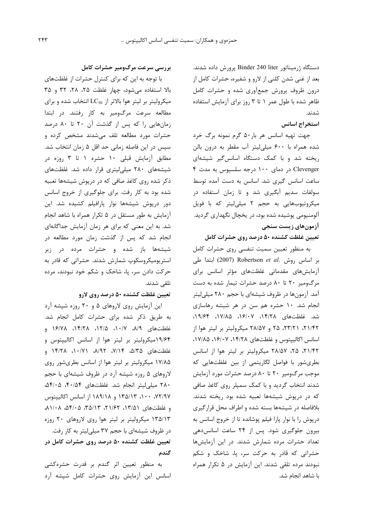دستگاه ژرمیناتور Binder 240 liter یرورش داده شدند. بعد از غنی شدن کلنی از لارو و شفیره، حشرات کامل از درون ظروف پرورش جمعآوری شده و حشرات کامل ظاهر شده با طول عمر ۱ تا ۳ روز برای آزمایش استفاده شدند.

## استخراج اسانس

جهت تهيه اسانس هر بار۵۰ گرم نمونه برگ خرد شده همراه با ۶۰۰ میلی لیتر آب مقطر به درون بالن ریخته شد و با کمک دستگاه اسانس گیر شیشهای Clevenger در دمای ۱۰۰ درجه سلسیوس به مدت ۴ ساعت اسانس گیری شد. اسانس به دست آمده توسط سولفات سدیم آبگیری شد و تا زمان استفاده در میکروتیوبهایی به حجم ۲ میلی لیتر که با فویل آلومنیومی پوشیده شده بود، در یخچال نگهداری گردید. آزمونهای زیست سنجی

### تعیین غلظت کشنده ۵۰ درصد روی حشرات کامل

به منظور تعیین سمیت تنفسی روی حشرات کامل بر اساس روش .Robertson et al ابتدا طی آزمایشهای مقدماتی غلظتهای مؤثر اسانس برای مرگومیر ۲۰ تا ۸۰ درصد حشرات تیمار شده به دست آمد. آزمونها در ظروف شیشهای با حجم ۲۸۰ میلی لیتر انجام شد. ١٠ حشره هم سن در هر شيشه رهاسازى شد. غلظتهای ۱۴/۲۸، ۱۶/۰۷، ۱۷/۸۵، ۱۹/۶۴، ۲۱/۴۲، ۲۳/۲۱، ۲۵ و ۲۸/۵۷ میکرولیتر بر لیتر هوا از اسانس اکالیپتوس و غلظتهای ۱۴/۲۸، ۱۶/۰۷، ۱۷/۸۵، ٢١/١۴٢، ٢۵، ٢٨/٥٧ ميكروليتر بر ليتر هوا از اسانس بطریشور با فواصل لگاریتمی از بین غلظتهایی که موجب مرگومیر ۲۰ تا ۸۰ درصد حشرات مورد آزمایش شدند انتخاب گردید و با کمک سمپلر روی کاغذ صافی که در درپوش شیشهها تعبیه شده بود ریخته شدند. بلافاصله در شیشهها بسته شده و اطراف محل قرار گیری درپوش را با نوار پارا فیلم پوشانده تا از خروج اسانس به بیرون جلوگیری شود. پس از ۲۴ ساعت اسانس دهی تعداد حشرات مرده شمارش شدند. در این آزمایش ها حشراتی که قادر به حرکت سر، پا، شاخک و شکم نبودند مرده تلقی شدند. این آزمایش در ۵ تکرار همراه با شاهد انجام شد.

### بررسی سرعت مرگومیر حشرات کامل

با توجه به این که برای کنترل حشرات از غلظتهای بالا استفاده میشود، چهار غلظت ۲۵، ۲۸، ۳۲ و ۳۵ میکرولیتر بر لیتر هوا بالاتر از LC50 انتخاب شده و برای مطالعه سرعت مرگ ومیر به کار رفتند. در ابتدا زمانهایی را که پس از گذشت آن ۲۰ تا ۸۰ درصد حشرات مورد مطالعه تلف می شدند مشخص کرده و سیس در این فاصله زمانی حد اقل ۵ زمان انتخاب شد. مطابق آزمایش قبلی ۱۰ حشره ۱ تا ۳ روزه در شیشههای ۲۸۰ میلی لیتری قرار داده شد. غلظتهای ذکر شده روی کاغذ صافی که در درپوش شیشهها تعبیه شده بود به کار رفت. برای جلوگیری از خروج اسانس دور درپوش شیشهها نوار پارافیلم کشیده شد. این آزمایش به طور مستقل در ۵ تکرار همراه با شاهد انجام شد. به این معنی که برای هر زمان آزمایش جداگانهای انجام شد که پس از گذشت زمان مورد مطالعه در شیشهها باز شده و حشرات مرده در زیر استریومیکروسکوپ شمارش شدند. حشراتی که قادر به حرکت دادن سر، یا، شاخک و شکم خود نبودند، مرده تلقى شدند.

#### تعیین غلظت کشنده ۵۰ درصد روی لارو

این آزمایش روی لاروهای ۵ و ۲۰ روزه شیشه آرد به طریق ذکر شده برای حشرات کامل انجام شد. غلظتهای ۸/۹، ۰/۱۲، ۱۲/۵، ۱۴/۲۸، ۱۶/۷۸ و ۱۹/۶۴میکرولیتر بر لیتر هوا از اسانس اکالیپتوس و غلظتهای ۵/۳۵، ۷/۱۴، ۸/۹۲، ۱۴/۲۸ و ۱۷/۸۵ میکرولیتر بر لیتر هوا از اسانس بطریشور روی لاروهای ۵ روزه شیشه آرد در ظروف شیشهای با حجم ۲۸۰ میلی لیتر انجام شد. غلظتهای ۴۰/۵۴، ۵۴/۰۵، ۷۲/۹۷، ۱۰۰، ۱۳۵/۱۳ و ۱۸۹/۱۸ از اسانس اکالیپتوس و غلظتهای ۱۳/۵۱، ۲۱/۶۲، ۳۵/۱۳، ۵۴/۰۵، ۸۱/۰۸ ۱۳۵/۱۳ میکرولیتر بر لیتر هوا روی لاروهای ۲۰ روزه در ظروف شیشهای با حجم ۳۷ میلی لیتر به کار رفت. تعیین غلظت کشنده ۵۰ درصد روی حشرات کامل در گندم

به منظور تعیین اثر گندم بر قدرت حشرهکشی اسانس این آزمایش روی حشرات کامل شیشه آرد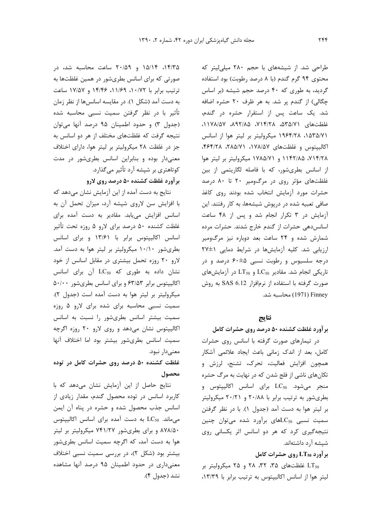۱۴/۳۵، ۱۵/۱۴ و ۲۰/۵۹ ساعت محاسبه شد، در صورتی که برای اسانس بطریشور در همین غلظتها به ترتيب برابر با ١٠/٧٢، ١١/٤٩، ١٤/٣٤ و ١٧/٥٧ ساعت به دست آمد (شکل ۱). در مقایسه اسانسها از نظر زمان تأثیر با در نظر گرفتن سمیت نسبی محاسبه شده (جدول ٣) وحدود اطمينان ٩۵ درصد آنها مى توان نتیجه گرفت که غلظتهای مختلف از هر دو اسانس به جز در غلظت ۲۸ میکرولیتر بر لیتر هوا، دارای اختلاف معنیدار بوده و بنابراین اسانس بطریشور در مدت کوتاهتری بر شیشه آرد تأثیر میگذارد.

### بر آورد غلظت کشنده ۵۰ درصد روی لارو

نتایج به دست آمده از این آزمایش نشان میدهد که با افزایش سن لاروی شپشه آرد، میزان تحمل آن به اسانس افزایش می یابد. مقادیر به دست آمده برای غلظت کشنده ۵۰ درصد برای لارو ۵ روزه تحت تأثیر اسانس اکالیپتوس برابر با ۱۳/۶۱ و برای اسانس بطریشور ۱۰/۱۰ میکرولیتر بر لیتر هوا به دست آمد. لارو ۲۰ روزه تحمل بیشتری در مقابل اسانس از خود نشان داده به طوری که LC50 آن برای اسانس اکالیپتوس برابر ۶۳/۵۳ و برای اسانس بطریشور ۵۰/۰۰ میکرولیتر بر لیتر هوا به دست آمده است (جدول ۲). سمیت نسبی محاسبه برای شده برای لارو ۵ روزه سمیت بیشتر اسانس بطریشور را نسبت به اسانس اکالیپتوس نشان میدهد و روی لارو ۲۰ روزه اگرچه سمیت اسانس بطریشور بیشتر بود اما اختلاف آنها معنىدار نبود.

# غلظت کشنده ۵۰ درصد روی حشرات کامل در توده محصول

نتایج حاصل از این آزمایش نشان می دهد که با کاربرد اسانس در توده محصول گندم، مقدار زیادی از اسانس جذب محصول شده و حشره در پناه آن ایمن می ماند. LC50 به دست آمده برای اسانس اکالیپتوس ۸۷۸/۵۰ و برای بطریشور ۷۴۱/۲۷ میکرولیتر بر لیتر هوا به دست آمد، که اگرچه سمیت اسانس بطریشور بیشتر بود (شکل ۲)، در بررسی سمیت نسبی اختلاف معنیداری در حدود اطمینان ۹۵ درصد آنها مشاهده نشد (جدول ۴).

طراحی شد. از شیشههای با حجم ۲۸۰ میلی لیتر که محتوى ٩۴ گرم گندم (با ٨ درصد رطوبت) بود استفاده گردید، به طوری که ۴۰ درصد حجم شیشه (بر اساس چگالی) از گندم پر شد. به هر ظرف ۲۰ حشره اضافه شد. یک ساعت پس از استقرار حشره در گندم، غلظتهای ٧١٥/٥٦، ٢١٤/٢٨، ٨٩٢/٨، ١١٧٨/٥٧، ١۵٣۵/٧١، ١٩۶۴/٢٨ ميكروليتر بر ليتر هوا از اسانس اكالييتوس وغلظتهاى ١٧٨/٥٧، ٢٨١/٥٨٢، ٢٦٤٣/٢٨، ،۷۱۴/۲۸، ۱۱۴۲/۸۵ و ۱۷۸۵/۷۱ میکرولیتر بر لیتر هوا از اسانس بطریشور، که با فاصله لگاریتمی از بین غلظتهای مؤثر روی در مرگ ومیر ۲۰ تا ۸۰ درصد حشرات مورد آزمايش انتخاب شده بودند روى كاغذ صافی تعبیه شده در درپوش شیشهها، به کار رفتند. این آزمایش در ۳ تکرار انجام شد و پس از ۴۸ ساعت اسانس دهی حشرات از گندم خارج شدند. حشرات مرده شمارش شده و ۲۴ ساعت بعد دوباره نیز مرگومیر ارزیابی شد. کلیه آزمایشها در شرایط دمایی ١±٢٧ درجه سلسیوس و رطوبت نسبی ۵±۶۰ درصد و در تاریکی انجام شد. مقادیر LC50 و LT50 در آزمایش های صورت گرفته با استفاده از نرمافزار SAS 6.12 به روش Finney (1971) محاسبه شد.

### نتايج

بر آورد غلظت کشنده ۵۰ درصد روی حشرات کامل در تیمارهای صورت گرفته با اسانس روی حشرات كامل، بعد از اندك زمانى باعث ايجاد علائمى آشكار همچون افزایش فعالیت، تحرک، تشنج، لرزش و تکانهای ناشی از فلج شدن که در نهایت به مرگ حشره منجر میشود. LC<sub>50</sub> برای اسانس اکالیپتوس و بطریشور به ترتیب برابر با ۲۰/۸۸ و ۲۰/۲۱ میکرولیتر بر ليتر هوا به دست آمد (جدول ١). با در نظر گرفتن سمیت نسبی LC50های برآورد شده میتوان چنین نتیجهگیری کرد که هر دو اسانس اثر یکسانی روی شیشه آ,د داشتهاند.

### برآورد LT50 روی حشرات کامل

LT<sub>50</sub> غلظتهای ۳۵، ۳۲، ۲۸ و ۲۵ میکرولیتر بر ليتر هوا از اسانس اكالييتوس به ترتيب برابر با ١٣/٣٩،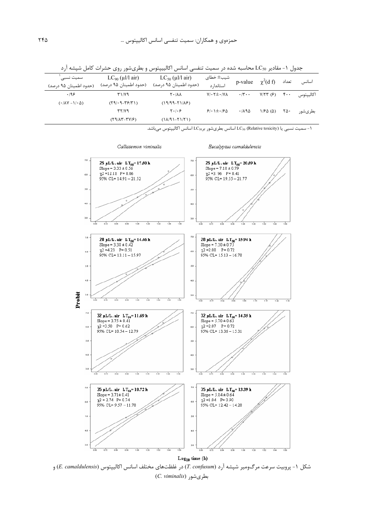| سميت نسبى<br>(حدود اطمینان ۹۵ درصد)  | $LC_{90}$ (µl/l air)<br>(حدود اطمینان ۹۵ درصد) | $LC_{50}$ (µl/l air)<br>(حدود اطمينان ۹۵ درصد) | شیب± خطای<br>استاندا, د | p-value                    | $\chi^2$ (d f)      | تعداد                           | اسانس     |
|--------------------------------------|------------------------------------------------|------------------------------------------------|-------------------------|----------------------------|---------------------|---------------------------------|-----------|
| .199                                 | T1/Y9                                          | ۸۸/۲۰                                          | $Y/\cdot Y \pm \cdot Y$ | $\cdot$ /۳ $\cdot$ $\cdot$ | Y/57 (5)            | $\mathfrak{r}\cdot\mathfrak{r}$ | اكالييتوس |
| $(\cdot/\lambda V - 1/\cdot \Delta)$ | $(59/0.9 - 79/7)$                              | $(19/99 - Y1/\lambda)$                         |                         |                            |                     |                                 |           |
|                                      | YY/Y9                                          | 5.1.9                                          | $91.1 \pm .190$         | .7190                      | $1/F\Delta(\Delta)$ | ۲۵۰                             | بطرىشور   |
|                                      | $(19/\lambda T - TV/F)$                        | $(1\lambda/91 - Y1/Y1)$                        |                         |                            |                     |                                 |           |
|                                      |                                                |                                                |                         |                            |                     |                                 |           |

جدول ۱- مقادیر LC<sub>50</sub> محاسبه شده در سمیت تنفسی اسانس اکالییپتوس و بطریشور روی حشرات کامل شپشه آرد

ا – سميت نسبي يا L $\rm C_{50}$  (Relative toxicity) اسانس بطريشور بر $\rm LC_{50}$  اسانس اكاليپتوس ميباشد.



شکل ۱- پروبیت سرعت مرگ ومیر شپشه آرد (*T. confusum*) در غلظتهای مختلف اسانس اکالیپتوس (*E. camaldulensis*) و (*C. viminalis*) بطریشور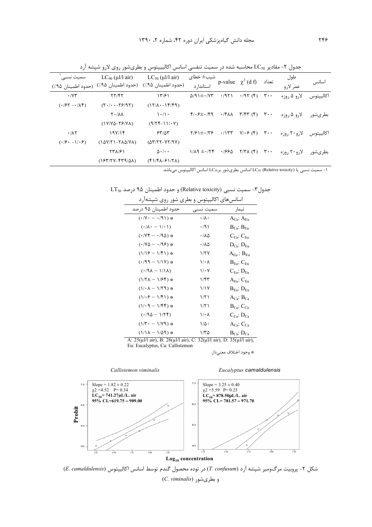| سمیت نسبے                                                           | $LC_{90}$ (µl/l air)<br>(حدود اطمينان ٩۵٪) (حدود اطمينان ٩۵٪) (حدود اطمينان ٩۵٪) | $LC_{50}$ (µl/l air)                                                        | شیب± خطای<br>استاندا, د                       |              | p-value $\chi^2$ (d f)                                   | تعداد | طول<br>عمر لارو | اسانس     |
|---------------------------------------------------------------------|----------------------------------------------------------------------------------|-----------------------------------------------------------------------------|-----------------------------------------------|--------------|----------------------------------------------------------|-------|-----------------|-----------|
| $\cdot$ / $\Upsilon\Upsilon$                                        | $\mathbf{Y} \mathbf{Y} / \mathbf{Y} \mathbf{Y}$                                  | 17/91                                                                       | $\Delta$ /9 1 $\pm$ $\cdot$ / $\gamma$ $\tau$ | .7951        | $\cdot$ $(95)(5)$ $\cdot$                                |       | لارو ۵ روزه     | اكالييتوس |
| $( \cdot   \mathcal{F} \mathbf{Y} - \cdot   \mathbf{A} \mathbf{Y})$ | $(Y \cdot   \cdot - Y \mathcal{F}   \mathcal{Y})$                                | $(17/\lambda - 19/9)$                                                       |                                               |              |                                                          |       |                 |           |
|                                                                     | $\mathsf{Y} \cdot / \mathsf{A} \mathsf{A}$                                       | $\left  \cdot \right  \right $                                              | $f/\cdot f \pm \cdot/f$ 9                     | ۸۸ ۰/۴       | $\mathsf{r}/\mathsf{f}\mathsf{r}$ (f) $\mathsf{r}\cdots$ |       | لارو ۵ روزه     | بطرىشور   |
|                                                                     | $(1Y/Y\Delta-YY/Y\Delta)$                                                        | $(9/55 - 1)/0.9$                                                            |                                               |              |                                                          |       |                 |           |
| $\cdot$ / $\wedge$ ۲                                                | 19Y/18                                                                           | 55/25                                                                       | $\frac{1}{2}$                                 | $\cdot$ /۱۳۳ | $Y/\cdot \xi$ (f) $Y \cdot \cdot$                        |       | لارو ۲۰ روزه    | اكالييتوس |
| $( \cdot   \mathcal{F} \cdot - \mathcal{E}   \cdot \mathcal{F} )$   | $(1\Delta V/T 1 - Y\Lambda\Delta/V\Lambda)$                                      | $(\Delta \Upsilon/\Upsilon \Upsilon - \Upsilon \Upsilon/\Upsilon \Upsilon)$ |                                               |              |                                                          |       |                 |           |
|                                                                     | <b>TTA/۶1</b>                                                                    | $\Delta \cdot / \cdot \cdot$                                                | $1/\lambda$ 9 $\pm$ $\cdot$ /۲۴               | ۱۶۶۵.        | $Y/Y\wedge(Y)$ $Y\cdots$                                 |       | لارو ۲۰ روزه    | بطرىشور   |
|                                                                     | $(154/5Y-FT9/\Delta\lambda)$                                                     | $(f1/f\lambda - f1/T\lambda)$                                               |                                               |              |                                                          |       |                 |           |

جدول ۲- مقادیر LC50 محاسبه شده در سمیت تنفسی اسانس اکالییپتوس و بطریشور روی لارو شپشه آرد

1- سميت نسبي يا LC<sub>50</sub> (Relative toxicity) اسانس بطريشور برLC<sub>50</sub> اسانس اكاليپتوس ميباشد.

جدول٣- سميت نسبي (Relative toxicity) وحدود اطمينان ٩٥ درصد LT50

| , J <i>JJJ</i><br>ー                                          | .                    |                             |
|--------------------------------------------------------------|----------------------|-----------------------------|
| حدود اطمينان ۹۵ درصد                                         | سميت نسبى            | تيمار                       |
| $(\cdot/\Upsilon \cdot - \cdot/\Upsilon)$ *                  | $\cdot/\lambda\cdot$ | $A_{Ca}: A_{Eu}$            |
| $(\cdot/\lambda \cdot - \frac{1}{\cdot})$                    | ۰/۹۱                 | $B_{Ca}: B_{Eu}$            |
| $(\cdot / \nu \mathfrak{r} - \cdot / \mathfrak{q} \Delta)$ * | ۰/۸۵                 | $C_{Ca}: C_{Eu}$            |
| $(\cdot/\Upsilon \Delta - \cdot/\Upsilon \epsilon)$ *        | ۰/۸۵                 | ${\rm D_{Ca}\!\!:D_{Eu}}$   |
| $(1/19 - 1/5)$ *                                             | ۱/۲۷                 | $A_{Eu}$ : $B_{Eu}$         |
| $(*/99 - 1/17)$ *                                            | ۱/۰۸                 | $B_{Eu}: C_{Eu}$            |
| $(1/14 - 1/14)$                                              | ۱/۰۷                 | $\rm C_{Eu:}\ D_{Eu}$       |
| $(1/7\lambda - 1/95)$ *                                      | ۱/۴۳                 | $\rm A_{Eu}$ : $\rm C_{Eu}$ |
| $(1/\cdot \lambda - 1/\zeta)$ *                              | ۱/۱۷                 | $\rm B_{Eu:}\ D_{Eu}$       |
| $(1/\cdot \hat{z} - 1/\hat{r}) \cdot \hat{z}$                | ۱/۲۱                 | $A_{Ca}: B_{Ca}$            |
| $(1/\cdot \theta - 1/\beta \mathfrak{f})$ *                  | ۱/۲۱                 | $B_{Ca}: C_{Ca}$            |
| $(171 - 69)$                                                 | ۱/۰۸                 | $C_{Ca}: D_{Ca}$            |
| $(1/\mathsf{T}\cdot - 1/\mathsf{Y}\mathsf{q})$ *             | ۱۵۰                  | $A_{Ca}: C_{Ca}$            |
| * (١/١٧ – ١/١/١)                                             | ۱/۳۵                 | $B_{Ca}: D_{Ca}$            |

اسانسهای اکالیپتوس و بطری شور روی شیشهآرد

A:  $25(\mu l/l \text{ air})$ , B:  $28(\mu l/l \text{ air})$ , C:  $32(\mu l/l \text{ air})$ , D:  $35(\mu l/l \text{ air})$ , Eu: Eucalyptus, Ca: Callistemon

\* وجود اختلاف معنىدار.



شكل ٢- پروبيت مرك ومير شيشه آرد (T. confusum) در توده محصول گندم توسط اسانس اكاليپتوس (E. camaldulensis) و بطریشور (C. viminalis)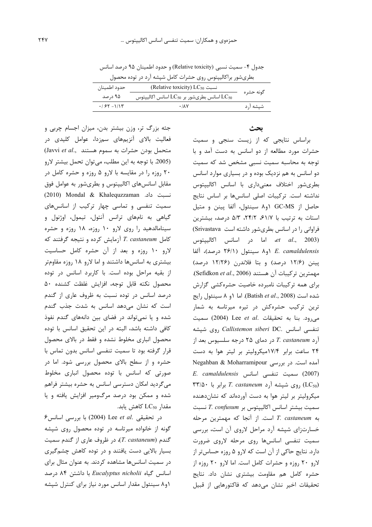جدول ۴- سمیت نسبی (Relative toxicity) و حدود اطمینان ۹۵ درصد اسانس بطریشور براکالیپتوس روی حشرات کامل شپشه آرد در توده محصول

| حدود اطمينان  | (Relative toxicity) LC <sub>50</sub> نسبت                              | گونه حشره |  |
|---------------|------------------------------------------------------------------------|-----------|--|
| ۹۵ درصد       | اسانس بطریشور بر $\mathrm{LC}_{50}$ اسانس اکالیپتوس $\mathrm{LC}_{50}$ |           |  |
| $.755 - 1/15$ | ۰/۸۷                                                                   | شیشه ارد  |  |

جثه بزرگ تر، وزن بیشتر بدن، میزان اجسام چربی و فعالیت بالای آنزیمهای سمزدا، عوامل کلیدی در متحمل بودن حشرات به سموم هستند (Javvi et al., (2005. با توجه به این مطلب، میتوان تحمل بیشتر لارو ۲۰ روزه را در مقایسه با لارو ۵ روزه و حشره کامل در مقابل اسانسهای اکالیپتوس و بطریشور به عوامل فوق نسبت داد. Mondal & Khalequzzaman) نسبت داد. سمیت تنفسی و تماسی چهار ترکیب از اسانسهای گیاهی به نامهای ترانس آنتول، تیمول، اوژنول و سینامالدهید را روی لارو ۱۰ روزه، ۱۸ روزه و حشره كامل T. castaneum آزمايش كرده و نتيجه گرفتند كه لارو ١٠ روزه و بعد از آن حشره كامل حساسيت بیشتری به اسانسها داشتند و اما لارو ۱۸ روزه مقاومتر از بقیه مراحل بوده است. با کاربرد اسانس در توده محصول نكته قابل توجه، افزايش غلظت كشنده ۵۰ درصد اسانس در توده نسبت به ظروف عاری از گندم است که نشان می دهد اسانس به شدت جذب گندم شده و یا نمیتواند در فضای بین دانههای گندم نفوذ كافي داشته باشد، البته در اين تحقيق اسانس با توده محصول انباری مخلوط نشده و فقط در بالای محصول قرار گرفته بود تا سمیت تنفسی اسانس بدون تماس با حشره و از سطح بالای محصول بررسی شود. اما در صورتی که اسانس با توده محصول انباری مخلوط میگردید امکان دسترسی اسانس به حشره بیشتر فراهم شده و ممکن بود درصد مرگ0میر افزایش یافته و یا مقدار  $LC_{50}$  كاهش يابد.

 $\epsilon$  (2004) Lee et al. در تحقیقی .Lee et al گونه از خانواده میرتاسه در توده محصول روی شیشه گندم (T. castaneum)، در ظروف عاری از گندم سمیت بسیار بالایی دست یافتند و در توده کاهش چشمگیری در سمیت اسانسها مشاهده کردند. به عنوان مثال برای اسانس گیاه Eucalyptus nicholii با داشتن ۸۴ درصد ۱و۸ سینئول مقدار اسانس مورد نیاز برای کنترل شپشه

#### بحث

براساس نتایجی که از زیست سنجی و سمیت حشرات مورد مطالعه از دو اسانس به دست آمد و با توجه به محاسبه سمیت نسبی مشخص شد که سمیت دو اسانس به هم نزدیک بوده و در بسیاری موارد اسانس بطریشور اختلاف معنیداری با اسانس اکالیپتوس نداشته است. تركيبات اصلى اسانسها بر اساس نتايج حاصل از GC-MS ۱و۸ سینئول، آلفا پینن و متیل استات به ترتیب با ۶۱/۷، ۲۴/۲، ۵/۳ درصد، بیشترین فراوانی را در اسانس بطریشور داشته است Srivastava) اما در اسانس اكالييتوس *et al.*, 2003) E. camaldulensis او ۸ سینئول (۲۶/۱ درصد)، آلفا پینن (۱۲/۶ درصد) و بتا فلاندرن (۱۲/۲۶ درصد) مهمترين تركيبات آن هستند (Sefidkon et al., 2006). برای همه ترکیبات نامبرده خاصیت حشرهکشی گزارش شده است (Batish et al., 2008). اما ١و ٨ سينئول رايج ترین ترکیب حشرهکش در تیره میرتاسه به شمار می رود. بنا به تحقیقات .Lee et al (2004) سمیت تنفسی اسانس .Callistemon siberi DC روی شپشه آرد T. castaneum در دمای ۲۵ درجه سلسیوس بعد از ۲۴ ساعت برابر ۱۷/۴میکرولیتر بر لیتر هوا به دست Negahban & Moharramipour آمده است. در بررسی  $E.$  camaldulensis سميت تنفسى اسانس  $(2007)$ ۳۳/۵۰ روی شپشه آرد T. castaneum برابر با ۲۳/۵۰ میکرولیتر بر لیتر هوا به دست آوردهاند که نشاندهنده سميت بيشتر اسانس اكالييتوس بر T. confusum نسبت به T. castaneum است. از آنجا که مهمترین مرحله خسارتزای شپشه آرد مراحل لاروی آن است، بررسی سمیت تنفسی اسانسها روی مرحله لاروی ضرورت دارد. نتایج حاکی از آن است که لارو ۵ روزه حساس تر از لارو ٢٠ روزه و حشرات كامل است. اما لارو ٢٠ روزه از حشره كامل هم مقاومت بيشترى نشان داد. نتايج تحقیقات اخیر نشان میدهد که فاکتورهایی از قبیل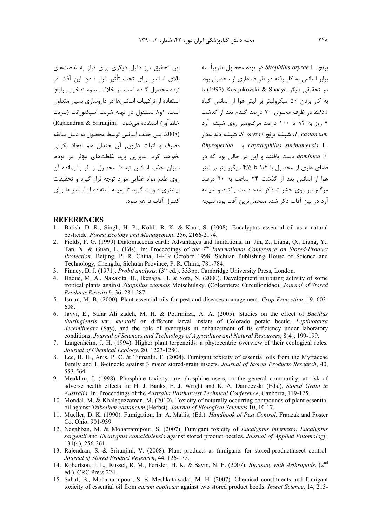این تحقیق نیز دلیل دیگری برای نیاز به غلظتهای بالای اسانس برای تحت تأثیر قرار دادن این آفت در توده محصول گندم است. بر خلاف سموم تدخینی رایج، استفاده از ترکیبات اسانس ها در داروسازی بسیار متداول است. ۱و۸ سینئول در تهیه شربت اسپکتورانت (شربت (Rajaendran & Sriranjini, خلطآور) استفاده می شود (2008. يس جذب اسانس توسط محصول به دليل سابقه مصرف و اثرات دارویی آن چندان هم ایجاد نگرانی نخواهد کرد. بنابراین باید غلظتهای مؤثر در توده، ميزان جذب اسانس توسط محصول و اثر باقيمانده آن روی طعم مواد غذایی مورد توجه قرار گیرد و تحقیقات بیشتری صورت گیرد تا زمینه استفاده از اسانسها برای كنترل آفات فراهم شود. برنج .Sitophilus oryzae L در توده محصول تقريباً سه برابر اسانس به کار رفته در ظروف عاری از محصول بود. در تحقیقی دیگر Kostjukovski & Shaaya با به کار بردن ۵۰ میکرولیتر بر لیتر هوا از اسانس گیاه ZP51 در ظرف محتوی ۷۰ درصد گندم بعد از گذشت ۷ روز به ۹۴ تا ۱۰۰ درصد مرگومیر روی شیشه آرد شيشه برنج S. oryzae، شيشه دندانهدار، T. castaneum Rhyzopertha , Oryzaephilus surinamensis L. .*dominica* F دست یافتند و این در حالی بود که در فضای عاری از محصول با ۱/۴ تا ۴/۵ میکرولیتر بر لیتر هوا از اسانس بعد از گذشت ۲۴ ساعت به ۹۰ درصد مرگ§میر روی حشرات ذکر شده دست یافتند و شیشه آرد در بین آفات ذکر شده متحمل ترین آفت بود، نتیجه

#### **REFERENCES**

- 1. Batish, D. R., Singh, H. P., Kohli, R. K. & Kaur, S. (2008). Eucalyptus essential oil as a natural pesticide. Forest Ecology and Management, 256, 2166-2174.
- 2. Fields, P. G. (1999) Diatomaceous earth: Advantages and limitations. In: Jin, Z., Liang, Q., Liang, Y., Tan, X. & Guan, L. (Eds). In: Proceedings of the 7<sup>th</sup> International Conference on Stored-Product Protection. Beijing, P. R. China, 14-19 October 1998. Sichuan Publishing House of Science and Technology, Chengdu, Sichuan Province, P. R. China, 781-784.<br>3. Finney, D. J. (1971). *Probit analysis*. (3<sup>rd</sup> ed.). 333pp. Cambridge University Press, London.
- 
- 4. Haque, M. A., Nakakita, H., Ikenaga, H. & Sota, N. (2000). Development inhibiting activity of some tropical plants against Sitophilus zeamais Motschulsky. (Coleoptera: Curculionidae). Journal of Stored Products Research, 36, 281-287.
- 5. Isman, M. B. (2000). Plant essential oils for pest and diseases management. Crop Protection, 19, 603-608
- 6. Javvi, E., Safar Ali zadeh, M. H. & Pourmirza, A. A. (2005). Studies on the effect of Bacillus thuringiensis var. kurstaki on different larval instars of Colorado potato beetle, Leptinotarsa *decemlineata* (Say), and the role of synergists in enhancement of its efficiency under laboratory conditions. Journal of Sciences and Technology of Agriculture and Natural Resources, 8(4), 199-199.
- 7. Langenheim, J. H. (1994). Higher plant terpenoids: a phytocentric overview of their ecological roles. Journal of Chemical Ecology, 20, 1223-1280.
- 8. Lee, B. H., Anis, P. C. & Tumaalii, F. (2004). Fumigant toxicity of essential oils from the Myrtaceae family and 1, 8-cineole against 3 major stored-grain insects. Journal of Stored Products Research, 40, 553-564.
- 9. Meaklim, J. (1998). Phosphine toxicity: are phosphine users, or the general community, at risk of adverse health effects In: H. J. Banks, E. J. Wright and K. A. Damcevski (Eds.), Stored Grain in Australia. In: Proceedings of the Australia Postharvest Technical Conference, Canberra, 119-125.
- 10. Mondal, M. & Khaleguzzaman, M. (2010). Toxicity of naturally occurring compounds of plant essential oil against Tribolium castaneum (Herbst). Journal of Biological Sciences 10, 10-17.
- 11. Mueller, D. K. (1990). Fumigation. In: A. Mallis, (Ed.). *Handbook of Pest Control*. Franzak and Foster Co. Ohio. 901-939.
- 12. Negahban, M. & Moharramipour, S. (2007). Fumigant toxicity of Eucalyptus intertexta, Eucalyptus sargentii and Eucalyptus camaldulensis against stored product beetles. Journal of Applied Entomology,  $131(4)$ , 256-261.
- 13. Rajendran, S. & Sriranjini, V. (2008). Plant products as fumigants for stored-productinsect control. Journal of Stored Product Research, 44, 126-135.
- 14. Robertson, J. L., Russel, R. M., Perisler, H. K. & Savin, N. E. (2007). Bioassay with Arthropods. (2nd ed.). CRC Press 224.
- 15. Sahaf, B., Moharramipour, S. & Meshkatalsadat, M. H. (2007). Chemical constituents and fumigant toxicity of essential oil from *carum copticum* against two stored product beetls. *Insect Science*, 14, 213-